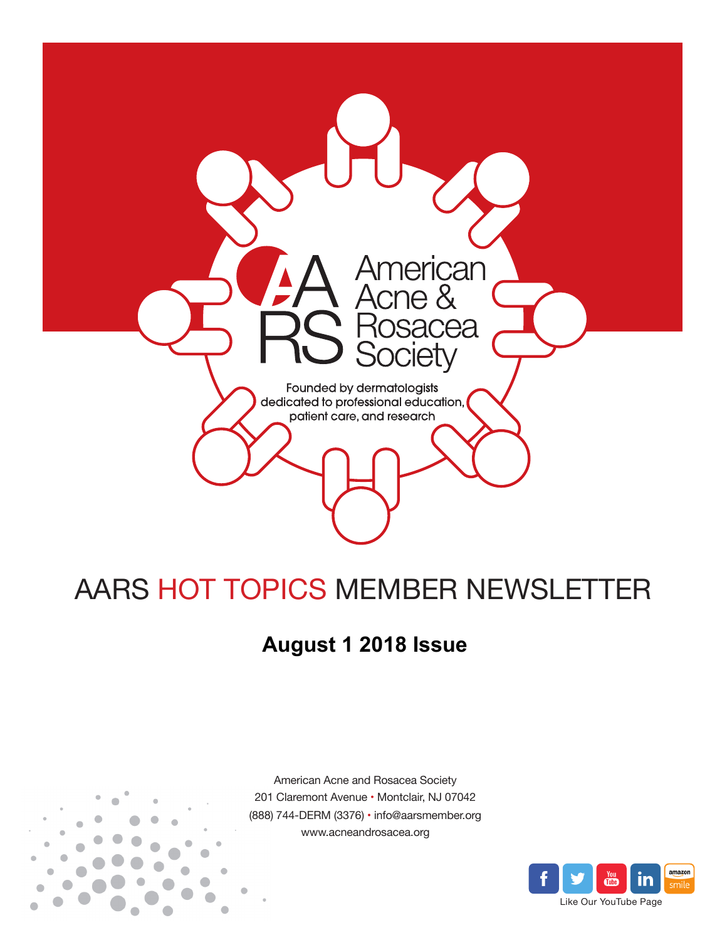

# AARS HOT TOPICS MEMBER NEWSLETTER

## **August 1 2018 Issue**



American Acne and Rosacea Society 201 Claremont Avenue • Montclair, NJ 07042 (888) 744-DERM (3376) • info@aarsmember.org www.acneandrosacea.org

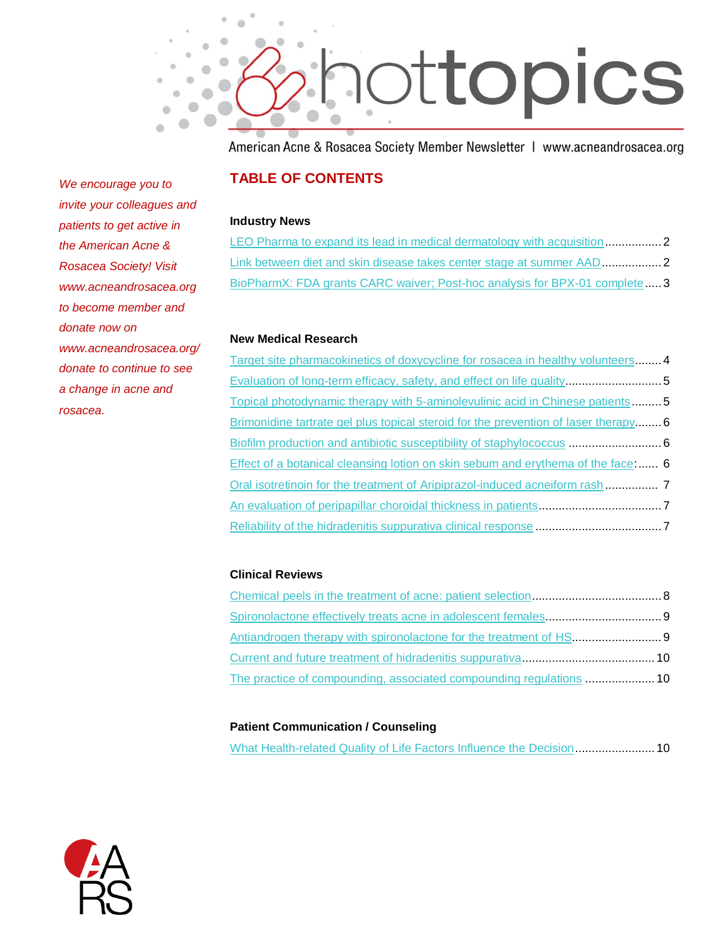

American Acne & Rosacea Society Member Newsletter | www.acneandrosacea.org

### **TABLE OF CONTENTS**

#### **Industry News**

[LEO Pharma to expand its lead in medical dermatology with acquisition.](#page-2-0)................2 [Link between diet and skin disease takes center stage at summer AAD.](#page-2-1).................2 [BioPharmX: FDA grants CARC waiver; Post-hoc analysis for BPX-01 complete.](#page-3-0)....3

### **New Medical Research**

[Target site pharmacokinetics of doxycycline for](#page-4-0) rosacea in healthy volunteers........4 [Evaluation of long-term efficacy, safety, and effect on life quality.](#page-5-0)............................5 [Topical photodynamic therapy with 5-aminolevulinic acid in Chinese patients.](#page-5-1)........5 [Brimonidine tartrate gel plus topical steroid for the prevention of](#page-6-0) laser therapy........ 6 [Biofilm production and antibiotic susceptibility of staphylococcus](#page-6-1) ............................6 [Effect of a botanical cleansing lotion on skin sebum and erythema of the face:](#page-6-2)...... 6 [Oral isotretinoin for the treatment of](#page-7-0) Aripiprazol-induced acneiform rash................ 7 [An evaluation of peripapillar choroidal thickness in patients.](#page-7-1)....................................7 [Reliability of the hidradenitis suppurativa clinical response.](#page-7-2).....................................7

### **Clinical Reviews**

| The practice of compounding, associated compounding regulations  10 |  |
|---------------------------------------------------------------------|--|

### **Patient Communication / Counseling**

[What Health-related Quality of Life Factors Influence the Decision.](#page-10-2).......................10



*We encourage you to invite your colleagues and patients to get active in the American Acne & Rosacea Society! Visit www.acneandrosacea.org to become member and donate now on www.acneandrosacea.org/ donate to continue to see a change in acne and rosacea.*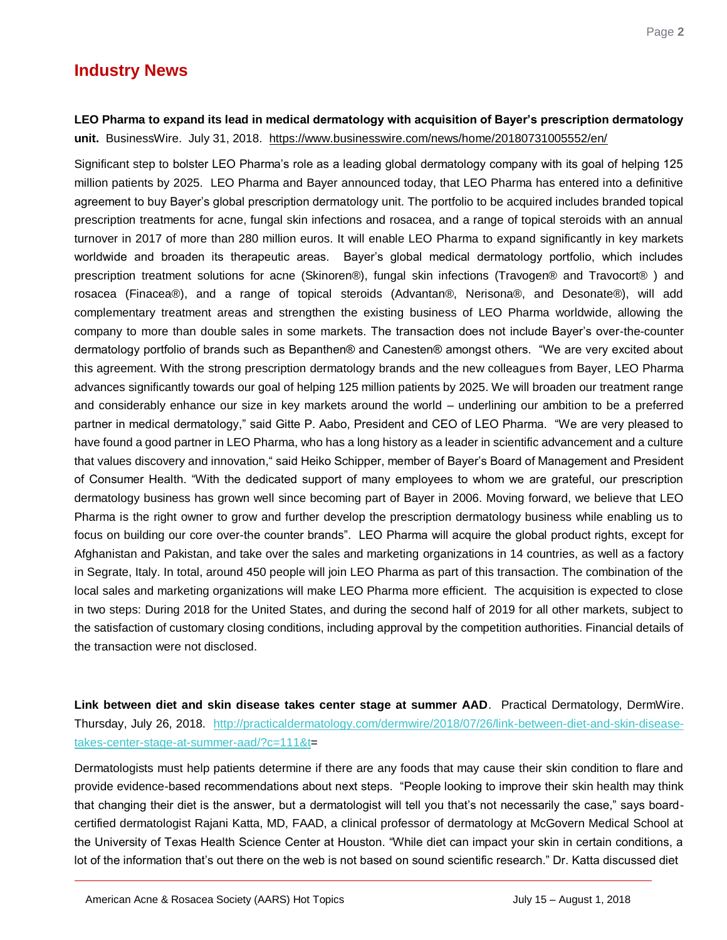## **Industry News**

## <span id="page-2-0"></span>**LEO Pharma to expand its lead in medical dermatology with acquisition of Bayer's prescription dermatology**

**unit.** BusinessWire. July 31, 2018. <https://www.businesswire.com/news/home/20180731005552/en/>

Significant step to bolster LEO Pharma's role as a leading global dermatology company with its goal of helping 125 million patients by 2025. LEO Pharma and Bayer announced today, that LEO Pharma has entered into a definitive agreement to buy Bayer's global prescription dermatology unit. The portfolio to be acquired includes branded topical prescription treatments for acne, fungal skin infections and rosacea, and a range of topical steroids with an annual turnover in 2017 of more than 280 million euros. It will enable LEO Pharma to expand significantly in key markets worldwide and broaden its therapeutic areas. Bayer's global medical dermatology portfolio, which includes prescription treatment solutions for acne (Skinoren®), fungal skin infections (Travogen® and Travocort® ) and rosacea (Finacea®), and a range of topical steroids (Advantan®, Nerisona®, and Desonate®), will add complementary treatment areas and strengthen the existing business of LEO Pharma worldwide, allowing the company to more than double sales in some markets. The transaction does not include Bayer's over-the-counter dermatology portfolio of brands such as Bepanthen® and Canesten® amongst others. "We are very excited about this agreement. With the strong prescription dermatology brands and the new colleagues from Bayer, LEO Pharma advances significantly towards our goal of helping 125 million patients by 2025. We will broaden our treatment range and considerably enhance our size in key markets around the world – underlining our ambition to be a preferred partner in medical dermatology," said Gitte P. Aabo, President and CEO of LEO Pharma. "We are very pleased to have found a good partner in LEO Pharma, who has a long history as a leader in scientific advancement and a culture that values discovery and innovation," said Heiko Schipper, member of Bayer's Board of Management and President of Consumer Health. "With the dedicated support of many employees to whom we are grateful, our prescription dermatology business has grown well since becoming part of Bayer in 2006. Moving forward, we believe that LEO Pharma is the right owner to grow and further develop the prescription dermatology business while enabling us to focus on building our core over-the counter brands". LEO Pharma will acquire the global product rights, except for Afghanistan and Pakistan, and take over the sales and marketing organizations in 14 countries, as well as a factory in Segrate, Italy. In total, around 450 people will join LEO Pharma as part of this transaction. The combination of the local sales and marketing organizations will make LEO Pharma more efficient. The acquisition is expected to close in two steps: During 2018 for the United States, and during the second half of 2019 for all other markets, subject to the satisfaction of customary closing conditions, including approval by the competition authorities. Financial details of the transaction were not disclosed.

## <span id="page-2-1"></span>**Link between diet and skin disease takes center stage at summer AAD**. Practical Dermatology, DermWire. Thursday, July 26, 2018. [http://practicaldermatology.com/dermwire/2018/07/26/link-between-diet-and-skin-disease](http://practicaldermatology.com/dermwire/2018/07/26/link-between-diet-and-skin-disease-takes-center-stage-at-summer-aad/?c=111&t)[takes-center-stage-at-summer-aad/?c=111&t=](http://practicaldermatology.com/dermwire/2018/07/26/link-between-diet-and-skin-disease-takes-center-stage-at-summer-aad/?c=111&t)

Dermatologists must help patients determine if there are any foods that may cause their skin condition to flare and provide evidence-based recommendations about next steps. "People looking to improve their skin health may think that changing their diet is the answer, but a dermatologist will tell you that's not necessarily the case," says boardcertified dermatologist Rajani Katta, MD, FAAD, a clinical professor of dermatology at McGovern Medical School at the University of Texas Health Science Center at Houston. "While diet can impact your skin in certain conditions, a lot of the information that's out there on the web is not based on sound scientific research." Dr. Katta discussed diet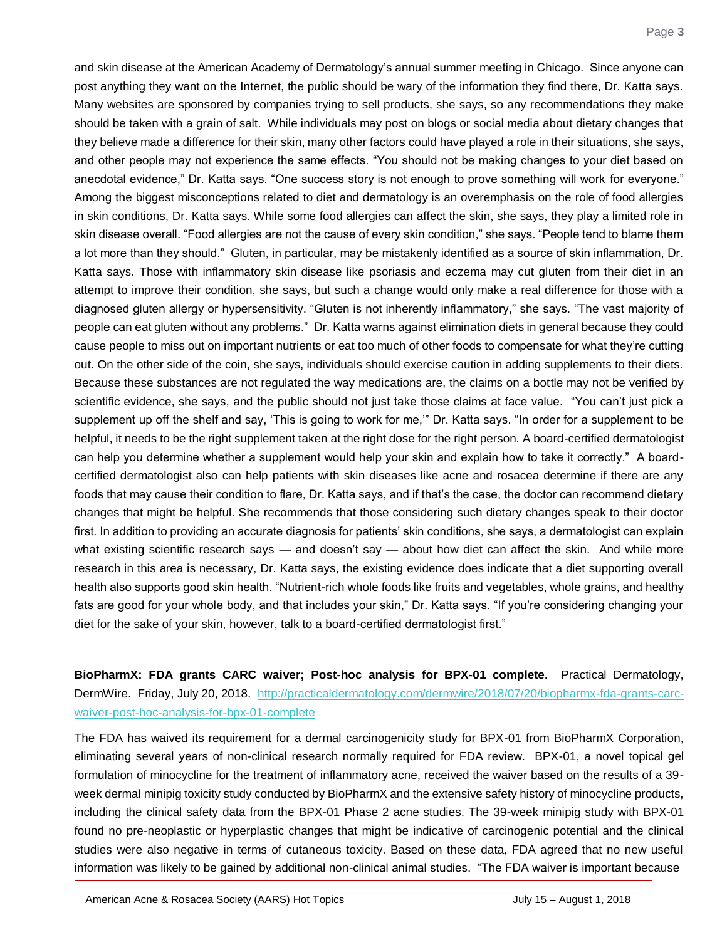and skin disease at the American Academy of Dermatology's annual summer meeting in Chicago. Since anyone can post anything they want on the Internet, the public should be wary of the information they find there, Dr. Katta says. Many websites are sponsored by companies trying to sell products, she says, so any recommendations they make should be taken with a grain of salt. While individuals may post on blogs or social media about dietary changes that they believe made a difference for their skin, many other factors could have played a role in their situations, she says, and other people may not experience the same effects. "You should not be making changes to your diet based on anecdotal evidence," Dr. Katta says. "One success story is not enough to prove something will work for everyone." Among the biggest misconceptions related to diet and dermatology is an overemphasis on the role of food allergies in skin conditions, Dr. Katta says. While some food allergies can affect the skin, she says, they play a limited role in skin disease overall. "Food allergies are not the cause of every skin condition," she says. "People tend to blame them a lot more than they should." Gluten, in particular, may be mistakenly identified as a source of skin inflammation, Dr. Katta says. Those with inflammatory skin disease like psoriasis and eczema may cut gluten from their diet in an attempt to improve their condition, she says, but such a change would only make a real difference for those with a diagnosed gluten allergy or hypersensitivity. "Gluten is not inherently inflammatory," she says. "The vast majority of people can eat gluten without any problems." Dr. Katta warns against elimination diets in general because they could cause people to miss out on important nutrients or eat too much of other foods to compensate for what they're cutting out. On the other side of the coin, she says, individuals should exercise caution in adding supplements to their diets. Because these substances are not regulated the way medications are, the claims on a bottle may not be verified by scientific evidence, she says, and the public should not just take those claims at face value. "You can't just pick a supplement up off the shelf and say, 'This is going to work for me,'" Dr. Katta says. "In order for a supplement to be helpful, it needs to be the right supplement taken at the right dose for the right person. A board-certified dermatologist can help you determine whether a supplement would help your skin and explain how to take it correctly." A boardcertified dermatologist also can help patients with skin diseases like acne and rosacea determine if there are any foods that may cause their condition to flare, Dr. Katta says, and if that's the case, the doctor can recommend dietary changes that might be helpful. She recommends that those considering such dietary changes speak to their doctor first. In addition to providing an accurate diagnosis for patients' skin conditions, she says, a dermatologist can explain what existing scientific research says — and doesn't say — about how diet can affect the skin. And while more research in this area is necessary, Dr. Katta says, the existing evidence does indicate that a diet supporting overall health also supports good skin health. "Nutrient-rich whole foods like fruits and vegetables, whole grains, and healthy fats are good for your whole body, and that includes your skin," Dr. Katta says. "If you're considering changing your diet for the sake of your skin, however, talk to a board-certified dermatologist first."

<span id="page-3-0"></span>**BioPharmX: FDA grants CARC waiver; Post-hoc analysis for BPX-01 complete.** Practical Dermatology, DermWire. Friday, July 20, 2018. [http://practicaldermatology.com/dermwire/2018/07/20/biopharmx-fda-grants-carc](http://practicaldermatology.com/dermwire/2018/07/20/biopharmx-fda-grants-carc-waiver-post-hoc-analysis-for-bpx-01-complete)[waiver-post-hoc-analysis-for-bpx-01-complete](http://practicaldermatology.com/dermwire/2018/07/20/biopharmx-fda-grants-carc-waiver-post-hoc-analysis-for-bpx-01-complete) 

The FDA has waived its requirement for a dermal carcinogenicity study for BPX-01 from BioPharmX Corporation, eliminating several years of non-clinical research normally required for FDA review. BPX-01, a novel topical gel formulation of minocycline for the treatment of inflammatory acne, received the waiver based on the results of a 39 week dermal minipig toxicity study conducted by BioPharmX and the extensive safety history of minocycline products, including the clinical safety data from the BPX-01 Phase 2 acne studies. The 39-week minipig study with BPX-01 found no pre-neoplastic or hyperplastic changes that might be indicative of carcinogenic potential and the clinical studies were also negative in terms of cutaneous toxicity. Based on these data, FDA agreed that no new useful information was likely to be gained by additional non-clinical animal studies. "The FDA waiver is important because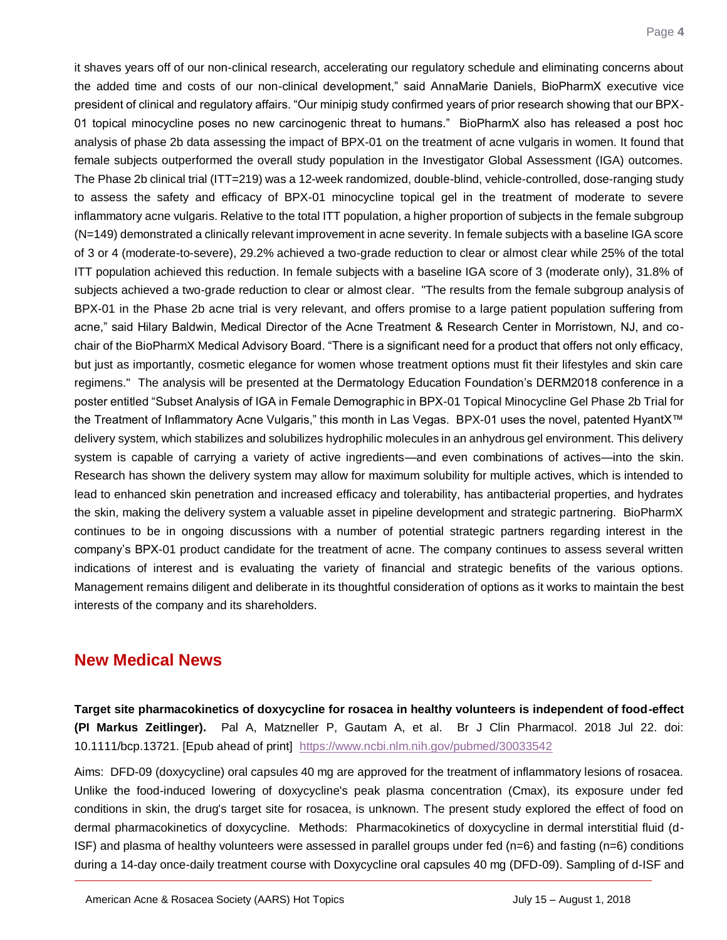it shaves years off of our non-clinical research, accelerating our regulatory schedule and eliminating concerns about the added time and costs of our non-clinical development," said AnnaMarie Daniels, BioPharmX executive vice president of clinical and regulatory affairs. "Our minipig study confirmed years of prior research showing that our BPX-01 topical minocycline poses no new carcinogenic threat to humans." BioPharmX also has released a post hoc analysis of phase 2b data assessing the impact of BPX-01 on the treatment of acne vulgaris in women. It found that female subjects outperformed the overall study population in the Investigator Global Assessment (IGA) outcomes. The Phase 2b clinical trial (ITT=219) was a 12-week randomized, double-blind, vehicle-controlled, dose-ranging study to assess the safety and efficacy of BPX-01 minocycline topical gel in the treatment of moderate to severe inflammatory acne vulgaris. Relative to the total ITT population, a higher proportion of subjects in the female subgroup (N=149) demonstrated a clinically relevant improvement in acne severity. In female subjects with a baseline IGA score of 3 or 4 (moderate-to-severe), 29.2% achieved a two-grade reduction to clear or almost clear while 25% of the total ITT population achieved this reduction. In female subjects with a baseline IGA score of 3 (moderate only), 31.8% of subjects achieved a two-grade reduction to clear or almost clear. "The results from the female subgroup analysis of BPX-01 in the Phase 2b acne trial is very relevant, and offers promise to a large patient population suffering from acne," said Hilary Baldwin, Medical Director of the Acne Treatment & Research Center in Morristown, NJ, and cochair of the BioPharmX Medical Advisory Board. "There is a significant need for a product that offers not only efficacy, but just as importantly, cosmetic elegance for women whose treatment options must fit their lifestyles and skin care regimens." The analysis will be presented at the Dermatology Education Foundation's DERM2018 conference in a poster entitled "Subset Analysis of IGA in Female Demographic in BPX-01 Topical Minocycline Gel Phase 2b Trial for the Treatment of Inflammatory Acne Vulgaris," this month in Las Vegas. BPX-01 uses the novel, patented HyantX™ delivery system, which stabilizes and solubilizes hydrophilic molecules in an anhydrous gel environment. This delivery system is capable of carrying a variety of active ingredients—and even combinations of actives—into the skin. Research has shown the delivery system may allow for maximum solubility for multiple actives, which is intended to lead to enhanced skin penetration and increased efficacy and tolerability, has antibacterial properties, and hydrates the skin, making the delivery system a valuable asset in pipeline development and strategic partnering. BioPharmX continues to be in ongoing discussions with a number of potential strategic partners regarding interest in the company's BPX-01 product candidate for the treatment of acne. The company continues to assess several written indications of interest and is evaluating the variety of financial and strategic benefits of the various options. Management remains diligent and deliberate in its thoughtful consideration of options as it works to maintain the best interests of the company and its shareholders.

## **New Medical News**

<span id="page-4-0"></span>**Target site pharmacokinetics of doxycycline for rosacea in healthy volunteers is independent of food-effect (PI Markus Zeitlinger).** Pal A, Matzneller P, Gautam A, et al. Br J Clin Pharmacol. 2018 Jul 22. doi: 10.1111/bcp.13721. [Epub ahead of print] <https://www.ncbi.nlm.nih.gov/pubmed/30033542>

Aims: DFD-09 (doxycycline) oral capsules 40 mg are approved for the treatment of inflammatory lesions of rosacea. Unlike the food-induced lowering of doxycycline's peak plasma concentration (Cmax), its exposure under fed conditions in skin, the drug's target site for rosacea, is unknown. The present study explored the effect of food on dermal pharmacokinetics of doxycycline. Methods: Pharmacokinetics of doxycycline in dermal interstitial fluid (d-ISF) and plasma of healthy volunteers were assessed in parallel groups under fed (n=6) and fasting (n=6) conditions during a 14-day once-daily treatment course with Doxycycline oral capsules 40 mg (DFD-09). Sampling of d-ISF and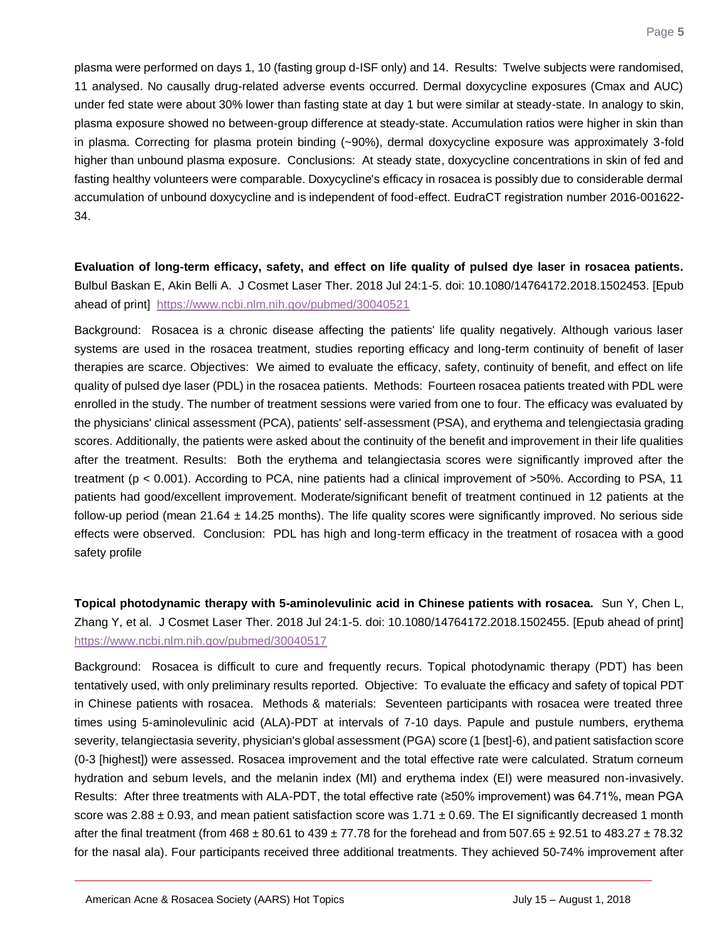plasma were performed on days 1, 10 (fasting group d-ISF only) and 14. Results: Twelve subjects were randomised, 11 analysed. No causally drug-related adverse events occurred. Dermal doxycycline exposures (Cmax and AUC) under fed state were about 30% lower than fasting state at day 1 but were similar at steady-state. In analogy to skin, plasma exposure showed no between-group difference at steady-state. Accumulation ratios were higher in skin than in plasma. Correcting for plasma protein binding (~90%), dermal doxycycline exposure was approximately 3-fold higher than unbound plasma exposure. Conclusions: At steady state, doxycycline concentrations in skin of fed and fasting healthy volunteers were comparable. Doxycycline's efficacy in rosacea is possibly due to considerable dermal accumulation of unbound doxycycline and is independent of food-effect. EudraCT registration number 2016-001622- 34.

<span id="page-5-0"></span>**Evaluation of long-term efficacy, safety, and effect on life quality of pulsed dye laser in rosacea patients.** Bulbul Baskan E, Akin Belli A. J Cosmet Laser Ther. 2018 Jul 24:1-5. doi: 10.1080/14764172.2018.1502453. [Epub ahead of print] <https://www.ncbi.nlm.nih.gov/pubmed/30040521>

Background: Rosacea is a chronic disease affecting the patients' life quality negatively. Although various laser systems are used in the rosacea treatment, studies reporting efficacy and long-term continuity of benefit of laser therapies are scarce. Objectives: We aimed to evaluate the efficacy, safety, continuity of benefit, and effect on life quality of pulsed dye laser (PDL) in the rosacea patients. Methods: Fourteen rosacea patients treated with PDL were enrolled in the study. The number of treatment sessions were varied from one to four. The efficacy was evaluated by the physicians' clinical assessment (PCA), patients' self-assessment (PSA), and erythema and telengiectasia grading scores. Additionally, the patients were asked about the continuity of the benefit and improvement in their life qualities after the treatment. Results: Both the erythema and telangiectasia scores were significantly improved after the treatment (p < 0.001). According to PCA, nine patients had a clinical improvement of >50%. According to PSA, 11 patients had good/excellent improvement. Moderate/significant benefit of treatment continued in 12 patients at the follow-up period (mean 21.64  $\pm$  14.25 months). The life quality scores were significantly improved. No serious side effects were observed. Conclusion: PDL has high and long-term efficacy in the treatment of rosacea with a good safety profile

<span id="page-5-1"></span>**Topical photodynamic therapy with 5-aminolevulinic acid in Chinese patients with rosacea.** Sun Y, Chen L, Zhang Y, et al. J Cosmet Laser Ther. 2018 Jul 24:1-5. doi: 10.1080/14764172.2018.1502455. [Epub ahead of print] <https://www.ncbi.nlm.nih.gov/pubmed/30040517>

Background: Rosacea is difficult to cure and frequently recurs. Topical photodynamic therapy (PDT) has been tentatively used, with only preliminary results reported. Objective: To evaluate the efficacy and safety of topical PDT in Chinese patients with rosacea. Methods & materials: Seventeen participants with rosacea were treated three times using 5-aminolevulinic acid (ALA)-PDT at intervals of 7-10 days. Papule and pustule numbers, erythema severity, telangiectasia severity, physician's global assessment (PGA) score (1 [best]-6), and patient satisfaction score (0-3 [highest]) were assessed. Rosacea improvement and the total effective rate were calculated. Stratum corneum hydration and sebum levels, and the melanin index (MI) and erythema index (EI) were measured non-invasively. Results: After three treatments with ALA-PDT, the total effective rate (≥50% improvement) was 64.71%, mean PGA score was 2.88  $\pm$  0.93, and mean patient satisfaction score was 1.71  $\pm$  0.69. The EI significantly decreased 1 month after the final treatment (from  $468 \pm 80.61$  to  $439 \pm 77.78$  for the forehead and from  $507.65 \pm 92.51$  to  $483.27 \pm 78.32$ for the nasal ala). Four participants received three additional treatments. They achieved 50-74% improvement after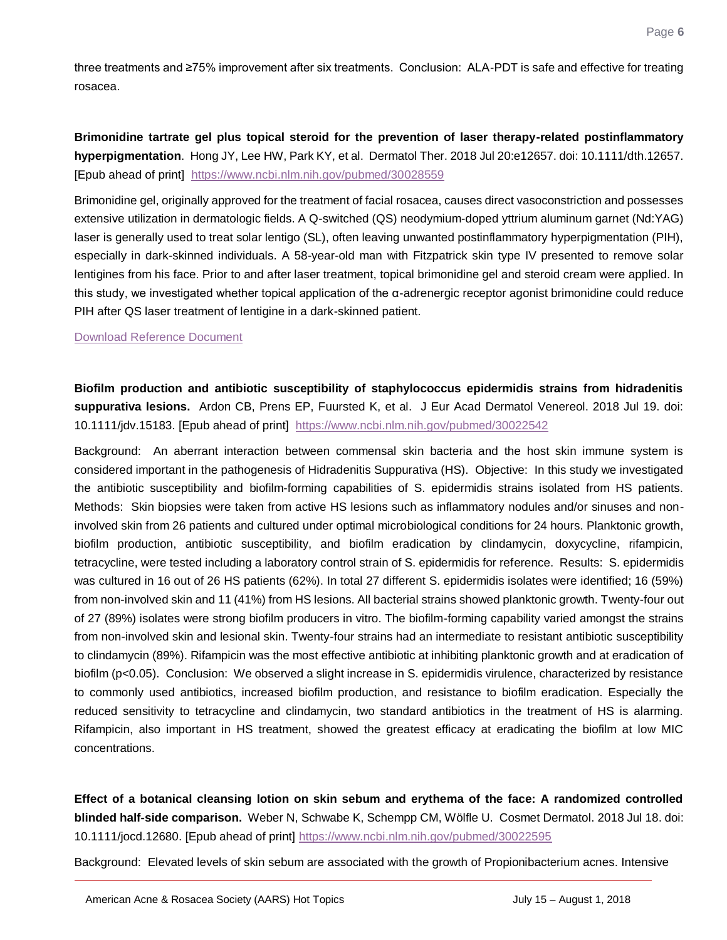three treatments and ≥75% improvement after six treatments. Conclusion: ALA-PDT is safe and effective for treating rosacea.

<span id="page-6-0"></span>**Brimonidine tartrate gel plus topical steroid for the prevention of laser therapy-related postinflammatory hyperpigmentation**. Hong JY, Lee HW, Park KY, et al. Dermatol Ther. 2018 Jul 20:e12657. doi: 10.1111/dth.12657. [Epub ahead of print] <https://www.ncbi.nlm.nih.gov/pubmed/30028559>

Brimonidine gel, originally approved for the treatment of facial rosacea, causes direct vasoconstriction and possesses extensive utilization in dermatologic fields. A Q-switched (QS) neodymium-doped yttrium aluminum garnet (Nd:YAG) laser is generally used to treat solar lentigo (SL), often leaving unwanted postinflammatory hyperpigmentation (PIH), especially in dark-skinned individuals. A 58-year-old man with Fitzpatrick skin type IV presented to remove solar lentigines from his face. Prior to and after laser treatment, topical brimonidine gel and steroid cream were applied. In this study, we investigated whether topical application of the α-adrenergic receptor agonist brimonidine could reduce PIH after QS laser treatment of lentigine in a dark-skinned patient.

#### [Download Reference Document](http://files.constantcontact.com/c2fa20d1101/f2550203-b282-4a0c-9e1b-aed8dba3c8c9.pdf)

<span id="page-6-1"></span>**Biofilm production and antibiotic susceptibility of staphylococcus epidermidis strains from hidradenitis suppurativa lesions.** Ardon CB, Prens EP, Fuursted K, et al. J Eur Acad Dermatol Venereol. 2018 Jul 19. doi: 10.1111/jdv.15183. [Epub ahead of print] <https://www.ncbi.nlm.nih.gov/pubmed/30022542>

Background: An aberrant interaction between commensal skin bacteria and the host skin immune system is considered important in the pathogenesis of Hidradenitis Suppurativa (HS). Objective: In this study we investigated the antibiotic susceptibility and biofilm-forming capabilities of S. epidermidis strains isolated from HS patients. Methods: Skin biopsies were taken from active HS lesions such as inflammatory nodules and/or sinuses and noninvolved skin from 26 patients and cultured under optimal microbiological conditions for 24 hours. Planktonic growth, biofilm production, antibiotic susceptibility, and biofilm eradication by clindamycin, doxycycline, rifampicin, tetracycline, were tested including a laboratory control strain of S. epidermidis for reference. Results: S. epidermidis was cultured in 16 out of 26 HS patients (62%). In total 27 different S. epidermidis isolates were identified; 16 (59%) from non-involved skin and 11 (41%) from HS lesions. All bacterial strains showed planktonic growth. Twenty-four out of 27 (89%) isolates were strong biofilm producers in vitro. The biofilm-forming capability varied amongst the strains from non-involved skin and lesional skin. Twenty-four strains had an intermediate to resistant antibiotic susceptibility to clindamycin (89%). Rifampicin was the most effective antibiotic at inhibiting planktonic growth and at eradication of biofilm (p<0.05). Conclusion: We observed a slight increase in S. epidermidis virulence, characterized by resistance to commonly used antibiotics, increased biofilm production, and resistance to biofilm eradication. Especially the reduced sensitivity to tetracycline and clindamycin, two standard antibiotics in the treatment of HS is alarming. Rifampicin, also important in HS treatment, showed the greatest efficacy at eradicating the biofilm at low MIC concentrations.

<span id="page-6-2"></span>**Effect of a botanical cleansing lotion on skin sebum and erythema of the face: A randomized controlled blinded half-side comparison.** Weber N, Schwabe K, Schempp CM, Wölfle U. Cosmet Dermatol. 2018 Jul 18. doi: 10.1111/jocd.12680. [Epub ahead of print]<https://www.ncbi.nlm.nih.gov/pubmed/30022595>

Background: Elevated levels of skin sebum are associated with the growth of Propionibacterium acnes. Intensive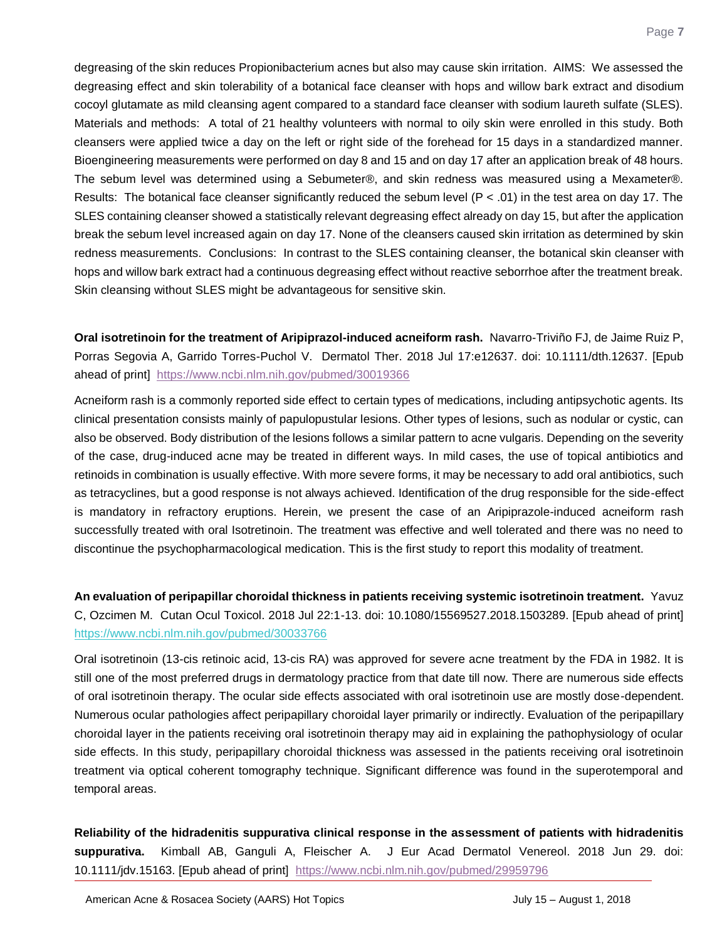degreasing of the skin reduces Propionibacterium acnes but also may cause skin irritation. AIMS: We assessed the degreasing effect and skin tolerability of a botanical face cleanser with hops and willow bark extract and disodium cocoyl glutamate as mild cleansing agent compared to a standard face cleanser with sodium laureth sulfate (SLES). Materials and methods: A total of 21 healthy volunteers with normal to oily skin were enrolled in this study. Both cleansers were applied twice a day on the left or right side of the forehead for 15 days in a standardized manner. Bioengineering measurements were performed on day 8 and 15 and on day 17 after an application break of 48 hours. The sebum level was determined using a Sebumeter®, and skin redness was measured using a Mexameter®. Results: The botanical face cleanser significantly reduced the sebum level  $(P < .01)$  in the test area on day 17. The SLES containing cleanser showed a statistically relevant degreasing effect already on day 15, but after the application break the sebum level increased again on day 17. None of the cleansers caused skin irritation as determined by skin redness measurements. Conclusions: In contrast to the SLES containing cleanser, the botanical skin cleanser with hops and willow bark extract had a continuous degreasing effect without reactive seborrhoe after the treatment break. Skin cleansing without SLES might be advantageous for sensitive skin.

<span id="page-7-0"></span>**Oral isotretinoin for the treatment of Aripiprazol-induced acneiform rash.** Navarro-Triviño FJ, de Jaime Ruiz P, Porras Segovia A, Garrido Torres-Puchol V. Dermatol Ther. 2018 Jul 17:e12637. doi: 10.1111/dth.12637. [Epub ahead of print] <https://www.ncbi.nlm.nih.gov/pubmed/30019366>

Acneiform rash is a commonly reported side effect to certain types of medications, including antipsychotic agents. Its clinical presentation consists mainly of papulopustular lesions. Other types of lesions, such as nodular or cystic, can also be observed. Body distribution of the lesions follows a similar pattern to acne vulgaris. Depending on the severity of the case, drug-induced acne may be treated in different ways. In mild cases, the use of topical antibiotics and retinoids in combination is usually effective. With more severe forms, it may be necessary to add oral antibiotics, such as tetracyclines, but a good response is not always achieved. Identification of the drug responsible for the side-effect is mandatory in refractory eruptions. Herein, we present the case of an Aripiprazole-induced acneiform rash successfully treated with oral Isotretinoin. The treatment was effective and well tolerated and there was no need to discontinue the psychopharmacological medication. This is the first study to report this modality of treatment.

<span id="page-7-1"></span>**An evaluation of peripapillar choroidal thickness in patients receiving systemic isotretinoin treatment.** Yavuz C, Ozcimen M. Cutan Ocul Toxicol. 2018 Jul 22:1-13. doi: 10.1080/15569527.2018.1503289. [Epub ahead of print] <https://www.ncbi.nlm.nih.gov/pubmed/30033766>

Oral isotretinoin (13-cis retinoic acid, 13-cis RA) was approved for severe acne treatment by the FDA in 1982. It is still one of the most preferred drugs in dermatology practice from that date till now. There are numerous side effects of oral isotretinoin therapy. The ocular side effects associated with oral isotretinoin use are mostly dose-dependent. Numerous ocular pathologies affect peripapillary choroidal layer primarily or indirectly. Evaluation of the peripapillary choroidal layer in the patients receiving oral isotretinoin therapy may aid in explaining the pathophysiology of ocular side effects. In this study, peripapillary choroidal thickness was assessed in the patients receiving oral isotretinoin treatment via optical coherent tomography technique. Significant difference was found in the superotemporal and temporal areas.

<span id="page-7-2"></span>**Reliability of the hidradenitis suppurativa clinical response in the assessment of patients with hidradenitis suppurativa.** Kimball AB, Ganguli A, Fleischer A. J Eur Acad Dermatol Venereol. 2018 Jun 29. doi: 10.1111/jdv.15163. [Epub ahead of print] <https://www.ncbi.nlm.nih.gov/pubmed/29959796>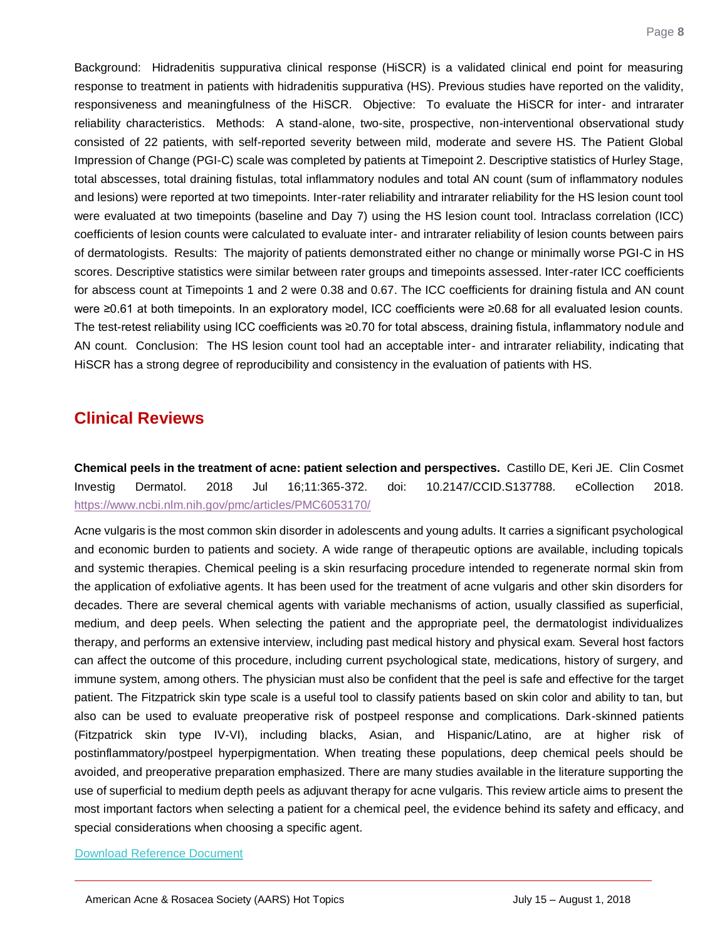Background: Hidradenitis suppurativa clinical response (HiSCR) is a validated clinical end point for measuring response to treatment in patients with hidradenitis suppurativa (HS). Previous studies have reported on the validity, responsiveness and meaningfulness of the HiSCR. Objective: To evaluate the HiSCR for inter- and intrarater reliability characteristics. Methods: A stand-alone, two-site, prospective, non-interventional observational study consisted of 22 patients, with self-reported severity between mild, moderate and severe HS. The Patient Global Impression of Change (PGI-C) scale was completed by patients at Timepoint 2. Descriptive statistics of Hurley Stage, total abscesses, total draining fistulas, total inflammatory nodules and total AN count (sum of inflammatory nodules and lesions) were reported at two timepoints. Inter-rater reliability and intrarater reliability for the HS lesion count tool were evaluated at two timepoints (baseline and Day 7) using the HS lesion count tool. Intraclass correlation (ICC) coefficients of lesion counts were calculated to evaluate inter- and intrarater reliability of lesion counts between pairs of dermatologists. Results: The majority of patients demonstrated either no change or minimally worse PGI-C in HS scores. Descriptive statistics were similar between rater groups and timepoints assessed. Inter-rater ICC coefficients for abscess count at Timepoints 1 and 2 were 0.38 and 0.67. The ICC coefficients for draining fistula and AN count were ≥0.61 at both timepoints. In an exploratory model, ICC coefficients were ≥0.68 for all evaluated lesion counts. The test-retest reliability using ICC coefficients was ≥0.70 for total abscess, draining fistula, inflammatory nodule and AN count. Conclusion: The HS lesion count tool had an acceptable inter- and intrarater reliability, indicating that HiSCR has a strong degree of reproducibility and consistency in the evaluation of patients with HS.

## **Clinical Reviews**

<span id="page-8-0"></span>**Chemical peels in the treatment of acne: patient selection and perspectives.** Castillo DE, Keri JE. Clin Cosmet Investig Dermatol. 2018 Jul 16;11:365-372. doi: 10.2147/CCID.S137788. eCollection 2018. <https://www.ncbi.nlm.nih.gov/pmc/articles/PMC6053170/>

Acne vulgaris is the most common skin disorder in adolescents and young adults. It carries a significant psychological and economic burden to patients and society. A wide range of therapeutic options are available, including topicals and systemic therapies. Chemical peeling is a skin resurfacing procedure intended to regenerate normal skin from the application of exfoliative agents. It has been used for the treatment of acne vulgaris and other skin disorders for decades. There are several chemical agents with variable mechanisms of action, usually classified as superficial, medium, and deep peels. When selecting the patient and the appropriate peel, the dermatologist individualizes therapy, and performs an extensive interview, including past medical history and physical exam. Several host factors can affect the outcome of this procedure, including current psychological state, medications, history of surgery, and immune system, among others. The physician must also be confident that the peel is safe and effective for the target patient. The Fitzpatrick skin type scale is a useful tool to classify patients based on skin color and ability to tan, but also can be used to evaluate preoperative risk of postpeel response and complications. Dark-skinned patients (Fitzpatrick skin type IV-VI), including blacks, Asian, and Hispanic/Latino, are at higher risk of postinflammatory/postpeel hyperpigmentation. When treating these populations, deep chemical peels should be avoided, and preoperative preparation emphasized. There are many studies available in the literature supporting the use of superficial to medium depth peels as adjuvant therapy for acne vulgaris. This review article aims to present the most important factors when selecting a patient for a chemical peel, the evidence behind its safety and efficacy, and special considerations when choosing a specific agent.

### [Download Reference Document](http://files.constantcontact.com/c2fa20d1101/bcf3c79f-b415-40e3-82bd-464acec8f2ec.pdf)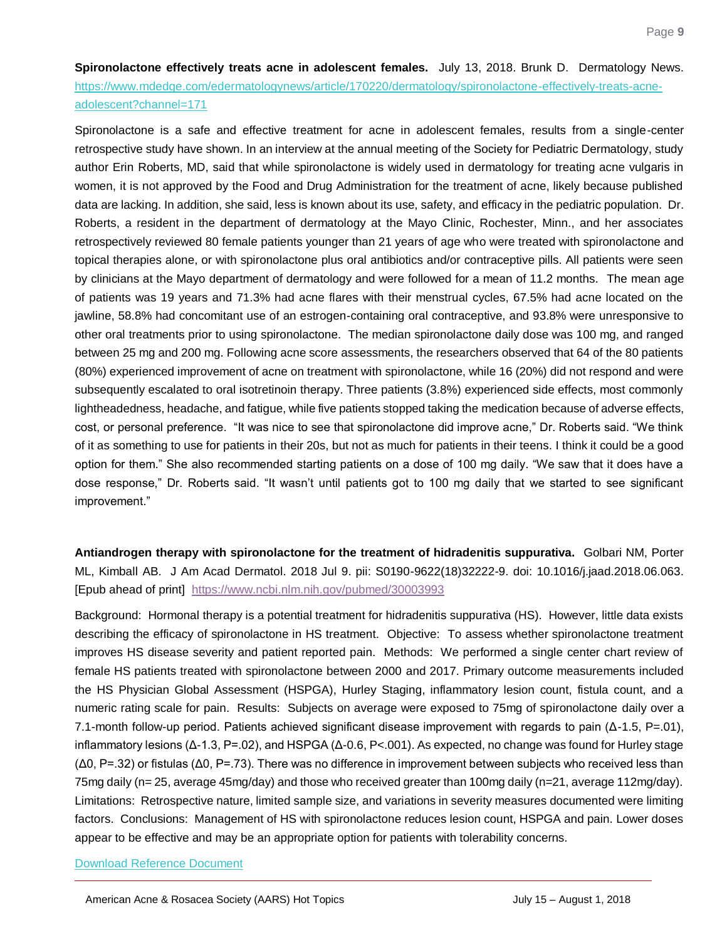<span id="page-9-0"></span>**Spironolactone effectively treats acne in adolescent females.** July 13, 2018. Brunk D. Dermatology News. [https://www.mdedge.com/edermatologynews/article/170220/dermatology/spironolactone-effectively-treats-acne](https://www.mdedge.com/edermatologynews/article/170220/dermatology/spironolactone-effectively-treats-acne-adolescent?channel=171)[adolescent?channel=171](https://www.mdedge.com/edermatologynews/article/170220/dermatology/spironolactone-effectively-treats-acne-adolescent?channel=171) 

Spironolactone is a safe and effective treatment for acne in adolescent females, results from a single-center retrospective study have shown. In an interview at the annual meeting of the Society for Pediatric Dermatology, study author Erin Roberts, MD, said that while spironolactone is widely used in dermatology for treating acne vulgaris in women, it is not approved by the Food and Drug Administration for the treatment of acne, likely because published data are lacking. In addition, she said, less is known about its use, safety, and efficacy in the pediatric population. Dr. Roberts, a resident in the department of dermatology at the Mayo Clinic, Rochester, Minn., and her associates retrospectively reviewed 80 female patients younger than 21 years of age who were treated with spironolactone and topical therapies alone, or with spironolactone plus oral antibiotics and/or contraceptive pills. All patients were seen by clinicians at the Mayo department of dermatology and were followed for a mean of 11.2 months. The mean age of patients was 19 years and 71.3% had acne flares with their menstrual cycles, 67.5% had acne located on the jawline, 58.8% had concomitant use of an estrogen-containing oral contraceptive, and 93.8% were unresponsive to other oral treatments prior to using spironolactone. The median spironolactone daily dose was 100 mg, and ranged between 25 mg and 200 mg. Following acne score assessments, the researchers observed that 64 of the 80 patients (80%) experienced improvement of acne on treatment with spironolactone, while 16 (20%) did not respond and were subsequently escalated to oral isotretinoin therapy. Three patients (3.8%) experienced side effects, most commonly lightheadedness, headache, and fatigue, while five patients stopped taking the medication because of adverse effects, cost, or personal preference. "It was nice to see that spironolactone did improve acne," Dr. Roberts said. "We think of it as something to use for patients in their 20s, but not as much for patients in their teens. I think it could be a good option for them." She also recommended starting patients on a dose of 100 mg daily. "We saw that it does have a dose response," Dr. Roberts said. "It wasn't until patients got to 100 mg daily that we started to see significant improvement."

<span id="page-9-1"></span>**Antiandrogen therapy with spironolactone for the treatment of hidradenitis suppurativa.** Golbari NM, Porter ML, Kimball AB. J Am Acad Dermatol. 2018 Jul 9. pii: S0190-9622(18)32222-9. doi: 10.1016/j.jaad.2018.06.063. [Epub ahead of print] <https://www.ncbi.nlm.nih.gov/pubmed/30003993>

Background: Hormonal therapy is a potential treatment for hidradenitis suppurativa (HS). However, little data exists describing the efficacy of spironolactone in HS treatment. Objective: To assess whether spironolactone treatment improves HS disease severity and patient reported pain. Methods: We performed a single center chart review of female HS patients treated with spironolactone between 2000 and 2017. Primary outcome measurements included the HS Physician Global Assessment (HSPGA), Hurley Staging, inflammatory lesion count, fistula count, and a numeric rating scale for pain. Results: Subjects on average were exposed to 75mg of spironolactone daily over a 7.1-month follow-up period. Patients achieved significant disease improvement with regards to pain (Δ-1.5, P=.01), inflammatory lesions (Δ-1.3, P=.02), and HSPGA (Δ-0.6, P<.001). As expected, no change was found for Hurley stage (Δ0, P=.32) or fistulas (Δ0, P=.73). There was no difference in improvement between subjects who received less than 75mg daily (n= 25, average 45mg/day) and those who received greater than 100mg daily (n=21, average 112mg/day). Limitations: Retrospective nature, limited sample size, and variations in severity measures documented were limiting factors. Conclusions: Management of HS with spironolactone reduces lesion count, HSPGA and pain. Lower doses appear to be effective and may be an appropriate option for patients with tolerability concerns.

### [Download Reference Document](http://files.constantcontact.com/c2fa20d1101/b85499bc-ed33-4af5-b74b-548f71fefd2f.pdf)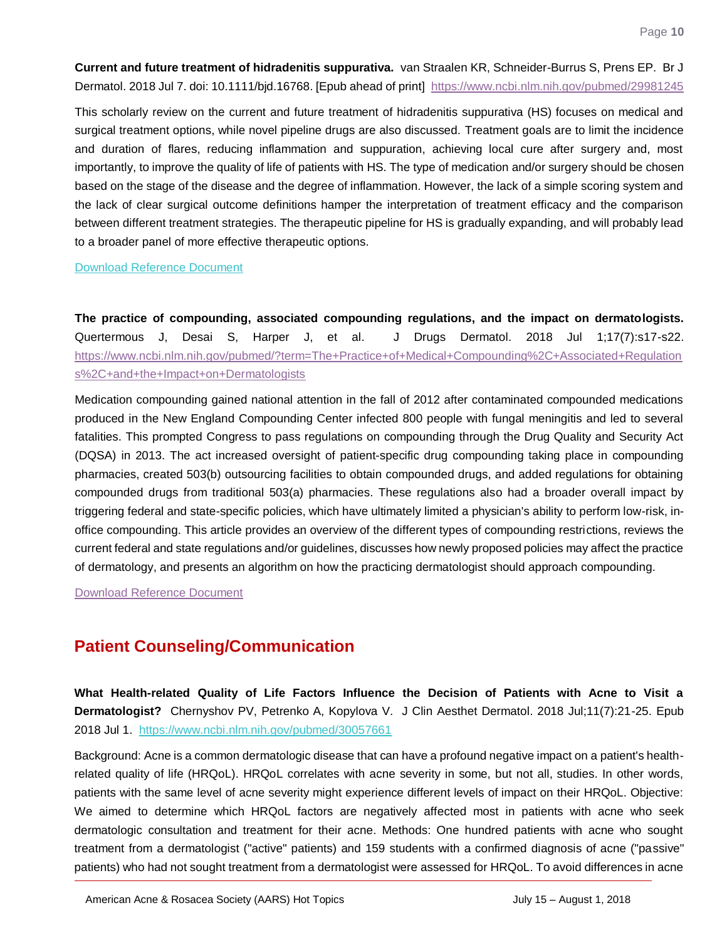<span id="page-10-0"></span>**Current and future treatment of hidradenitis suppurativa.** van Straalen KR, Schneider-Burrus S, Prens EP. Br J Dermatol. 2018 Jul 7. doi: 10.1111/bjd.16768. [Epub ahead of print] https://www.ncbi.nlm.nih.gov/pubmed/29981245

This scholarly review on the current and future treatment of hidradenitis suppurativa (HS) focuses on medical and surgical treatment options, while novel pipeline drugs are also discussed. Treatment goals are to limit the incidence and duration of flares, reducing inflammation and suppuration, achieving local cure after surgery and, most importantly, to improve the quality of life of patients with HS. The type of medication and/or surgery should be chosen based on the stage of the disease and the degree of inflammation. However, the lack of a simple scoring system and the lack of clear surgical outcome definitions hamper the interpretation of treatment efficacy and the comparison between different treatment strategies. The therapeutic pipeline for HS is gradually expanding, and will probably lead to a broader panel of more effective therapeutic options.

[Download Reference Document](http://files.constantcontact.com/c2fa20d1101/1f67b460-3501-41b6-9714-0930d2c63d88.pdf)

<span id="page-10-1"></span>**The practice of compounding, associated compounding regulations, and the impact on dermatologists.**  Quertermous J, Desai S, Harper J, et al. J Drugs Dermatol. 2018 Jul 1;17(7):s17-s22. [https://www.ncbi.nlm.nih.gov/pubmed/?term=The+Practice+of+Medical+Compounding%2C+Associated+Regulation](https://www.ncbi.nlm.nih.gov/pubmed/?term=The+Practice+of+Medical+Compounding%2C+Associated+Regulations%2C+and+the+Impact+on+Dermatologists) [s%2C+and+the+Impact+on+Dermatologists](https://www.ncbi.nlm.nih.gov/pubmed/?term=The+Practice+of+Medical+Compounding%2C+Associated+Regulations%2C+and+the+Impact+on+Dermatologists) 

Medication compounding gained national attention in the fall of 2012 after contaminated compounded medications produced in the New England Compounding Center infected 800 people with fungal meningitis and led to several fatalities. This prompted Congress to pass regulations on compounding through the Drug Quality and Security Act (DQSA) in 2013. The act increased oversight of patient-specific drug compounding taking place in compounding pharmacies, created 503(b) outsourcing facilities to obtain compounded drugs, and added regulations for obtaining compounded drugs from traditional 503(a) pharmacies. These regulations also had a broader overall impact by triggering federal and state-specific policies, which have ultimately limited a physician's ability to perform low-risk, inoffice compounding. This article provides an overview of the different types of compounding restrictions, reviews the current federal and state regulations and/or guidelines, discusses how newly proposed policies may affect the practice of dermatology, and presents an algorithm on how the practicing dermatologist should approach compounding.

[Download Reference Document](http://files.constantcontact.com/c2fa20d1101/a8e5c7b8-dd34-47fb-bf1f-b3f553983810.pdf)

## **Patient Counseling/Communication**

<span id="page-10-2"></span>**What Health-related Quality of Life Factors Influence the Decision of Patients with Acne to Visit a Dermatologist?** Chernyshov PV, Petrenko A, Kopylova V. J Clin Aesthet Dermatol. 2018 Jul;11(7):21-25. Epub 2018 Jul 1. <https://www.ncbi.nlm.nih.gov/pubmed/30057661>

Background: Acne is a common dermatologic disease that can have a profound negative impact on a patient's healthrelated quality of life (HRQoL). HRQoL correlates with acne severity in some, but not all, studies. In other words, patients with the same level of acne severity might experience different levels of impact on their HRQoL. Objective: We aimed to determine which HRQoL factors are negatively affected most in patients with acne who seek dermatologic consultation and treatment for their acne. Methods: One hundred patients with acne who sought treatment from a dermatologist ("active" patients) and 159 students with a confirmed diagnosis of acne ("passive" patients) who had not sought treatment from a dermatologist were assessed for HRQoL. To avoid differences in acne